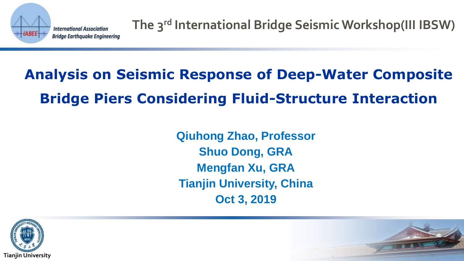

**The 3rd International Bridge Seismic Workshop(III IBSW)**

# **Analysis on Seismic Response of Deep-Water Composite Bridge Piers Considering Fluid-Structure Interaction**

**Qiuhong Zhao, Professor Shuo Dong, GRA Mengfan Xu, GRA Tianjin University, China Oct 3, 2019**



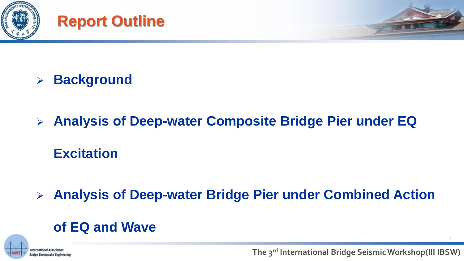





# ➢ **Background**

# ➢ **Analysis of Deep-water Composite Bridge Pier under EQ Excitation**

➢ **Analysis of Deep-water Bridge Pier under Combined Action** 

## **of EQ and Wave**



 $\overline{2}$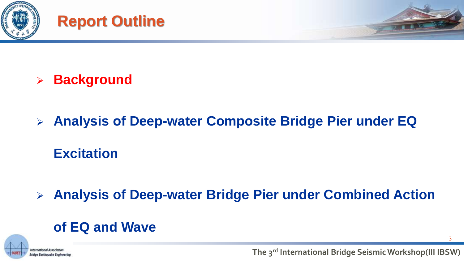





# ➢ **Background**

# ➢ **Analysis of Deep-water Composite Bridge Pier under EQ Excitation**

➢ **Analysis of Deep-water Bridge Pier under Combined Action** 

## **of EQ and Wave**



3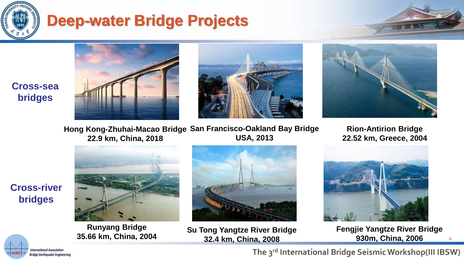

# **Deep-water Bridge Projects**









Hong Kong-Zhuhai-Macao Bridge San Francisco-Oakland Bay Bridge **USA, 2013 22.9 km, China, 2018**

**Rion-Antirion Bridge 22.52 km, Greece, 2004**



**Runyang Bridge 35.66 km, China, 2004**



**Su Tong Yangtze River Bridge 32.4 km, China, 2008**



**Fengjie Yangtze River Bridge 930m, China, 2006** 

4

sternational Associa **Bridge Earthquake Engineering**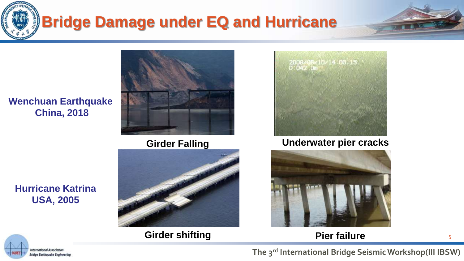





**Girder shifting Pier failure** <sup>5</sup>



#### **Girder Falling Underwater pier cracks**



#### **Hurricane Katrina USA, 2005**

**China, 2018**

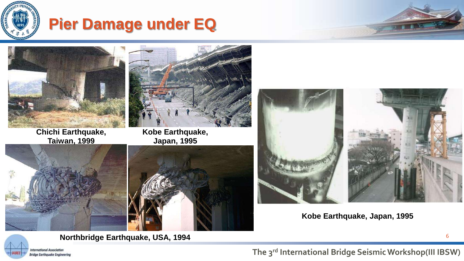

# **Pier Damage under EQ**



**Chichi Earthquake, Taiwan, 1999**





**Kobe Earthquake, Japan, 1995**





**Kobe Earthquake, Japan, 1995**



**Northbridge Earthquake, USA, 1994**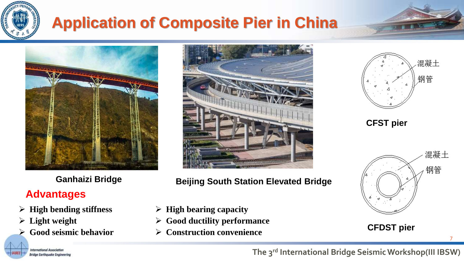

# **Application of Composite Pier in China**



### **Advantages**

- ➢ **High bending stiffness**
- ➢ **Light weight**

nternational Associatic **Bridge Earthquake Engineering** 

➢ **Good seismic behavior**



**Ganhaizi Bridge Beijing South Station Elevated Bridge**

- ➢ **High bearing capacity**
- ➢ **Good ductility performance**
- ➢ **Construction convenience**



**CFST pier**



7

**CFDST pier**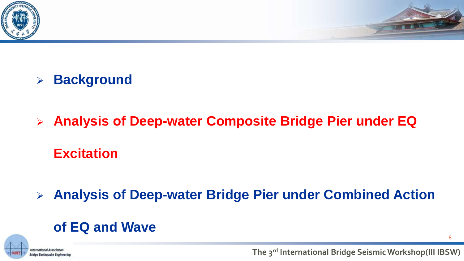



- ➢ **Background**
- ➢ **Analysis of Deep-water Composite Bridge Pier under EQ Excitation**

➢ **Analysis of Deep-water Bridge Pier under Combined Action** 

## **of EQ and Wave**



8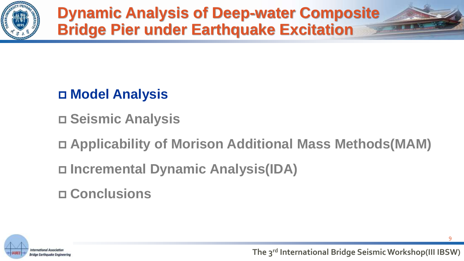

**Dynamic Analysis of Deep-water Composite Bridge Pier under Earthquake Excitation**

# **Model Analysis**

**Seismic Analysis**

**Applicability of Morison Additional Mass Methods(MAM)**

**Incremental Dynamic Analysis(IDA)** 

**Conclusions**



9